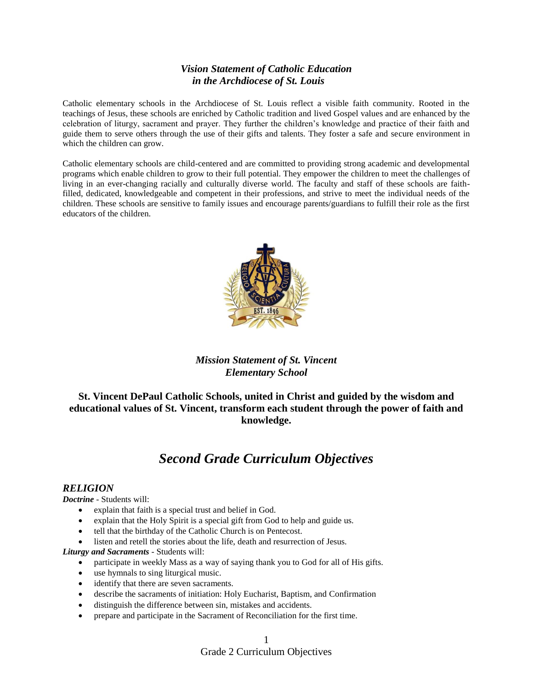# *Vision Statement of Catholic Education in the Archdiocese of St. Louis*

Catholic elementary schools in the Archdiocese of St. Louis reflect a visible faith community. Rooted in the teachings of Jesus, these schools are enriched by Catholic tradition and lived Gospel values and are enhanced by the celebration of liturgy, sacrament and prayer. They further the children's knowledge and practice of their faith and guide them to serve others through the use of their gifts and talents. They foster a safe and secure environment in which the children can grow.

Catholic elementary schools are child-centered and are committed to providing strong academic and developmental programs which enable children to grow to their full potential. They empower the children to meet the challenges of living in an ever-changing racially and culturally diverse world. The faculty and staff of these schools are faithfilled, dedicated, knowledgeable and competent in their professions, and strive to meet the individual needs of the children. These schools are sensitive to family issues and encourage parents/guardians to fulfill their role as the first educators of the children.



# *Mission Statement of St. Vincent Elementary School*

**St. Vincent DePaul Catholic Schools, united in Christ and guided by the wisdom and educational values of St. Vincent, transform each student through the power of faith and knowledge.**

# *Second Grade Curriculum Objectives*

### *RELIGION*

*Doctrine -* Students will:

- explain that faith is a special trust and belief in God.
- explain that the Holy Spirit is a special gift from God to help and guide us.
- tell that the birthday of the Catholic Church is on Pentecost.
- listen and retell the stories about the life, death and resurrection of Jesus.

*Liturgy and Sacraments -* Students will:

- participate in weekly Mass as a way of saying thank you to God for all of His gifts.
- use hymnals to sing liturgical music.
- identify that there are seven sacraments.
- describe the sacraments of initiation: Holy Eucharist, Baptism, and Confirmation
- distinguish the difference between sin, mistakes and accidents.
- prepare and participate in the Sacrament of Reconciliation for the first time.

### Grade 2 Curriculum Objectives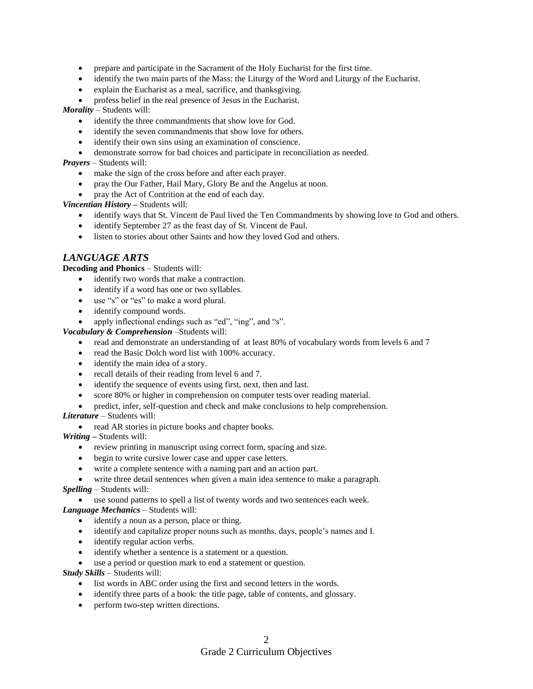- prepare and participate in the Sacrament of the Holy Eucharist for the first time.
- identify the two main parts of the Mass: the Liturgy of the Word and Liturgy of the Eucharist.
- explain the Eucharist as a meal, sacrifice, and thanksgiving.
- profess belief in the real presence of Jesus in the Eucharist.

*Morality –* Students will:

- identify the three commandments that show love for God.
- identify the seven commandments that show love for others.
- identify their own sins using an examination of conscience.
- demonstrate sorrow for bad choices and participate in reconciliation as needed.

*Prayers –* Students will:

- make the sign of the cross before and after each prayer.
- pray the Our Father, Hail Mary, Glory Be and the Angelus at noon.
- pray the Act of Contrition at the end of each day.

*Vincentian History –* Students will:

- identify ways that St. Vincent de Paul lived the Ten Commandments by showing love to God and others.
- identify September 27 as the feast day of St. Vincent de Paul.
- listen to stories about other Saints and how they loved God and others.

### *LANGUAGE ARTS*

**Decoding and Phonics** – Students will:

- identify two words that make a contraction.
- identify if a word has one or two syllables.
- use "s" or "es" to make a word plural.
- identify compound words.
- apply inflectional endings such as "ed", "ing", and "s".

*Vocabulary & Comprehension* –Students will:

- read and demonstrate an understanding of at least 80% of vocabulary words from levels 6 and 7
- read the Basic Dolch word list with 100% accuracy.
- identify the main idea of a story.
- recall details of their reading from level 6 and 7.
- identify the sequence of events using first, next, then and last.
- score 80% or higher in comprehension on computer tests over reading material.
- predict, infer, self-question and check and make conclusions to help comprehension.

#### *Literature* – Students will:

• read AR stories in picture books and chapter books.

*Writing –* Students will:

- review printing in manuscript using correct form, spacing and size.
- begin to write cursive lower case and upper case letters.
- write a complete sentence with a naming part and an action part.
- write three detail sentences when given a main idea sentence to make a paragraph.

*Spelling* – Students will:

use sound patterns to spell a list of twenty words and two sentences each week.

- *Language Mechanics* Students will:
	- identify a noun as a person, place or thing.
	- identify and capitalize proper nouns such as months, days, people's names and I.
	- identify regular action verbs.
	- identify whether a sentence is a statement or a question.
	- use a period or question mark to end a statement or question.

*Study Skills* – Students will:

- list words in ABC order using the first and second letters in the words.
- identify three parts of a book: the title page, table of contents, and glossary.
- perform two-step written directions.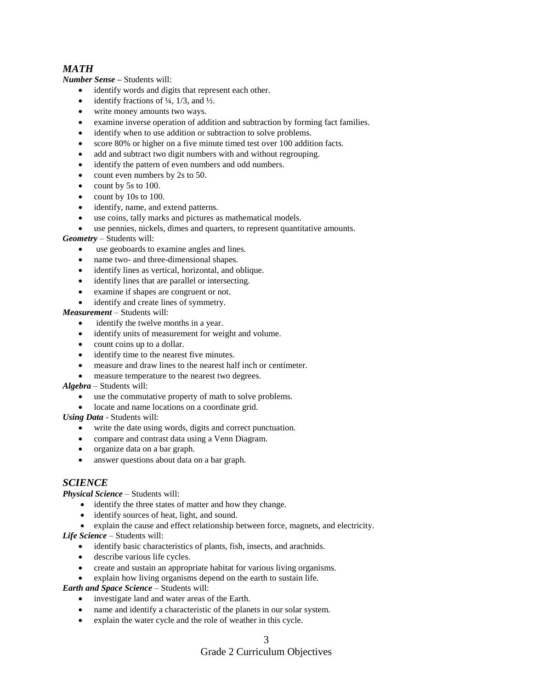# *MATH*

*Number Sense –* Students will:

- identify words and digits that represent each other.
- identify fractions of  $\frac{1}{4}$ ,  $\frac{1}{3}$ , and  $\frac{1}{2}$ .
- write money amounts two ways.
- examine inverse operation of addition and subtraction by forming fact families.
- identify when to use addition or subtraction to solve problems.
- score 80% or higher on a five minute timed test over 100 addition facts.
- add and subtract two digit numbers with and without regrouping.
- identify the pattern of even numbers and odd numbers.
- count even numbers by 2s to 50.
- $\bullet$  count by 5s to 100.
- count by 10s to 100.
- identify, name, and extend patterns.
- use coins, tally marks and pictures as mathematical models.
- use pennies, nickels, dimes and quarters, to represent quantitative amounts.

*Geometry* – Students will:

- use geoboards to examine angles and lines.
- name two- and three-dimensional shapes.
- identify lines as vertical, horizontal, and oblique.
- identify lines that are parallel or intersecting.
- examine if shapes are congruent or not.
- identify and create lines of symmetry.

*Measurement* – Students will:

- identify the twelve months in a year.
- identify units of measurement for weight and volume.
- count coins up to a dollar.
- identify time to the nearest five minutes.
- measure and draw lines to the nearest half inch or centimeter.
- measure temperature to the nearest two degrees.

#### *Algebra –* Students will:

- use the commutative property of math to solve problems.
- locate and name locations on a coordinate grid.

*Using Data* - Students will:

- write the date using words, digits and correct punctuation.
- compare and contrast data using a Venn Diagram.
- organize data on a bar graph.
- answer questions about data on a bar graph.

# *SCIENCE*

*Physical Science* – Students will:

- identify the three states of matter and how they change.
- identify sources of heat, light, and sound.
- explain the cause and effect relationship between force, magnets, and electricity.
- *Life Science*  Students will:
	- identify basic characteristics of plants, fish, insects, and arachnids.
	- describe various life cycles.
	- create and sustain an appropriate habitat for various living organisms.
	- explain how living organisms depend on the earth to sustain life.

*Earth and Space Science* – Students will:

- investigate land and water areas of the Earth.
- name and identify a characteristic of the planets in our solar system.
- explain the water cycle and the role of weather in this cycle.

# Grade 2 Curriculum Objectives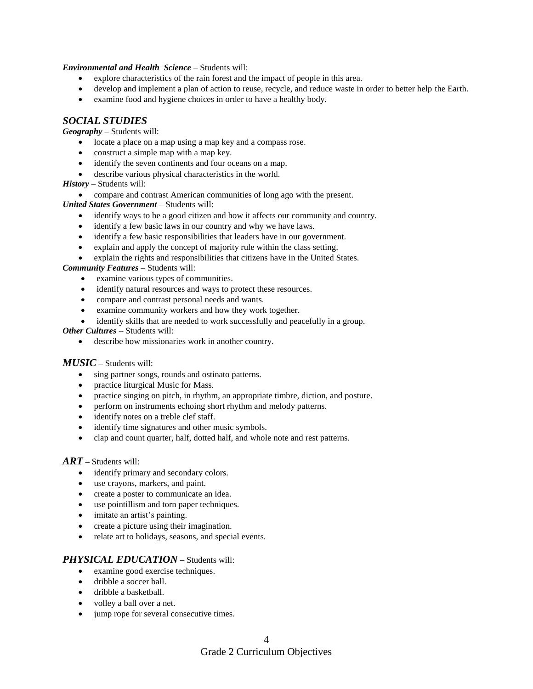*Environmental and Health Science* – Students will:

- explore characteristics of the rain forest and the impact of people in this area.
- develop and implement a plan of action to reuse, recycle, and reduce waste in order to better help the Earth.
- examine food and hygiene choices in order to have a healthy body.

# *SOCIAL STUDIES*

*Geography –* Students will:

- locate a place on a map using a map key and a compass rose.
- construct a simple map with a map key.
- identify the seven continents and four oceans on a map.
- describe various physical characteristics in the world.

*History* – Students will:

compare and contrast American communities of long ago with the present.

*United States Government* – Students will:

- identify ways to be a good citizen and how it affects our community and country.
- identify a few basic laws in our country and why we have laws.
- identify a few basic responsibilities that leaders have in our government.
- explain and apply the concept of majority rule within the class setting.
- explain the rights and responsibilities that citizens have in the United States.

*Community Features* – Students will:

- examine various types of communities.
- identify natural resources and ways to protect these resources.
- compare and contrast personal needs and wants.
- examine community workers and how they work together.
- identify skills that are needed to work successfully and peacefully in a group.

*Other Cultures –* Students will:

describe how missionaries work in another country.

#### *MUSIC –* Students will:

- sing partner songs, rounds and ostinato patterns.
- practice liturgical Music for Mass.
- practice singing on pitch, in rhythm, an appropriate timbre, diction, and posture.
- perform on instruments echoing short rhythm and melody patterns.
- identify notes on a treble clef staff.
- identify time signatures and other music symbols.
- clap and count quarter, half, dotted half, and whole note and rest patterns.

### *ART –* Students will:

- identify primary and secondary colors.
- use crayons, markers, and paint.
- create a poster to communicate an idea.
- use pointillism and torn paper techniques.
- imitate an artist's painting.
- create a picture using their imagination.
- relate art to holidays, seasons, and special events.

### *PHYSICAL EDUCATION –* Students will:

- examine good exercise techniques.
- dribble a soccer ball.
- dribble a basketball.
- volley a ball over a net.
- jump rope for several consecutive times.